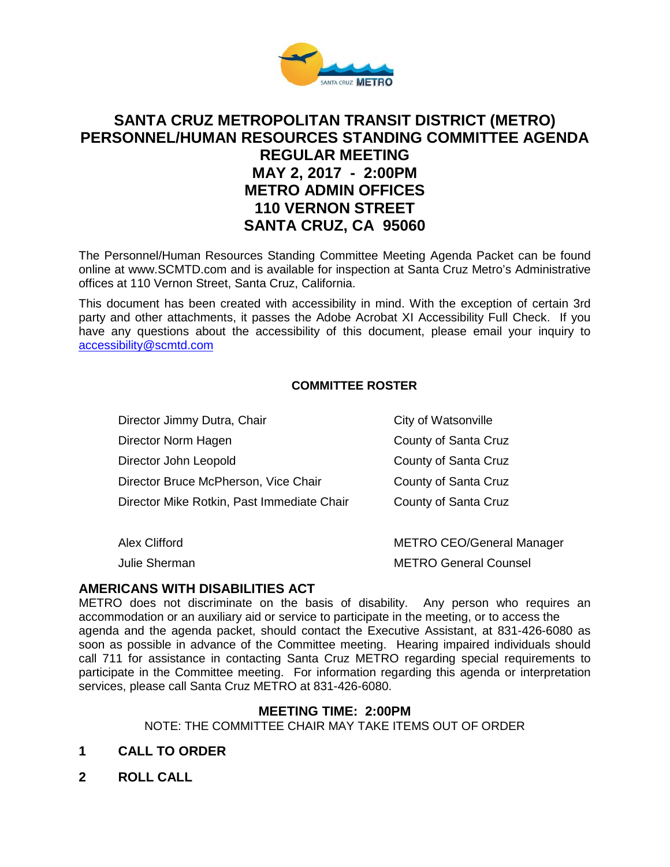

# **SANTA CRUZ METROPOLITAN TRANSIT DISTRICT (METRO) PERSONNEL/HUMAN RESOURCES STANDING COMMITTEE AGENDA REGULAR MEETING MAY 2, 2017 - 2:00PM METRO ADMIN OFFICES 110 VERNON STREET SANTA CRUZ, CA 95060**

The Personnel/Human Resources Standing Committee Meeting Agenda Packet can be found online at www.SCMTD.com and is available for inspection at Santa Cruz Metro's Administrative offices at 110 Vernon Street, Santa Cruz, California.

This document has been created with accessibility in mind. With the exception of certain 3rd party and other attachments, it passes the Adobe Acrobat XI Accessibility Full Check. If you have any questions about the accessibility of this document, please email your inquiry to [accessibility@scmtd.com](mailto:accessibility@scmtd.com)

### **COMMITTEE ROSTER**

| Director Jimmy Dutra, Chair                | City of Watsonville              |
|--------------------------------------------|----------------------------------|
| Director Norm Hagen                        | County of Santa Cruz             |
| Director John Leopold                      | County of Santa Cruz             |
| Director Bruce McPherson, Vice Chair       | County of Santa Cruz             |
| Director Mike Rotkin, Past Immediate Chair | County of Santa Cruz             |
| Alex Clifford                              | <b>METRO CEO/General Manager</b> |

Julie Sherman METRO General Counsel

#### **AMERICANS WITH DISABILITIES ACT**

METRO does not discriminate on the basis of disability. Any person who requires an accommodation or an auxiliary aid or service to participate in the meeting, or to access the agenda and the agenda packet, should contact the Executive Assistant, at 831-426-6080 as soon as possible in advance of the Committee meeting. Hearing impaired individuals should call 711 for assistance in contacting Santa Cruz METRO regarding special requirements to participate in the Committee meeting. For information regarding this agenda or interpretation services, please call Santa Cruz METRO at 831-426-6080.

#### **MEETING TIME: 2:00PM**

NOTE: THE COMMITTEE CHAIR MAY TAKE ITEMS OUT OF ORDER

- **1 CALL TO ORDER**
- **2 ROLL CALL**